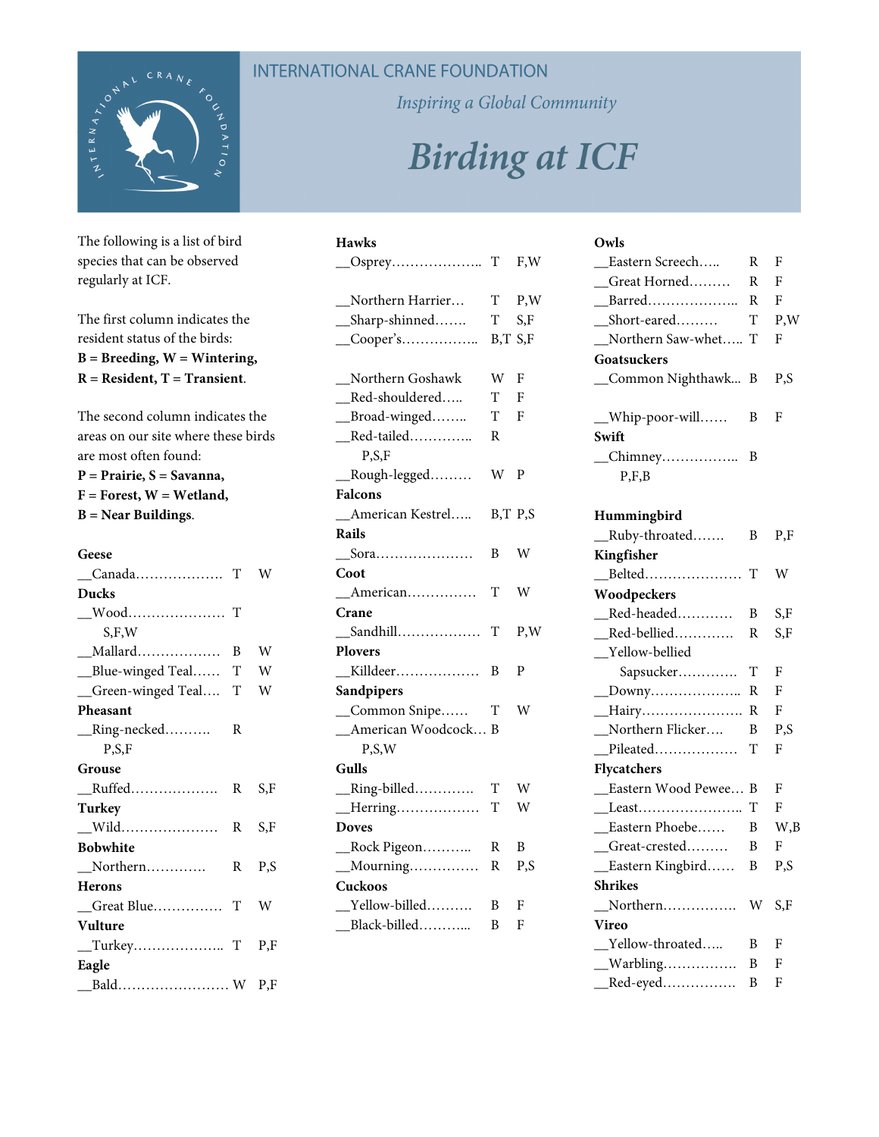

The following is a list of bird species that can be observed regularly at ICF.

The first column indicates the resident status of the birds: **B = Breeding, W = Wintering, R = Resident, T = Transient**.

The second column indicates the areas on our site where these birds are most often found:

**P = Prairie, S = Savanna, F = Forest, W = Wetland, B = Near Buildings**.

#### **Geese**  \_\_Canada………………. T W **Ducks**  \_\_Wood………………… T S,F,W \_\_Mallard……………… B W \_\_Blue-winged Teal…… T W \_\_Green-winged Teal…. T W **Pheasant**  \_\_Ring-necked………. R P,S,F **Grouse**  \_\_Ruffed………………. R S,F **Turkey**  \_\_Wild………………… R S,F **Bobwhite**  \_\_Northern…………. R P,S **Herons**  \_\_Great Blue…………… T W **Vulture**  \_\_Turkey……………….. T P,F **Eagle**  \_\_Bald…………………… W P,F

## **INTERNATIONAL CRANE FOUNDATION**

Inspiring a Global Community

# **Birding at ICF**

| <b>Hawks</b>                       |         |     |
|------------------------------------|---------|-----|
|                                    | T       | F,W |
| _Northern Harrier                  | T       | P,W |
| __Sharp-shinned                    | T       | S,F |
| $\_\$ Cooper's                     | B,T S,F |     |
| Northern Goshawk                   | W       | F   |
| __Red-shouldered                   | T       | F   |
| __Broad-winged                     | T       | F   |
| $\text{Red-tailed}$<br>P, S, F     | R       |     |
| Rough-legged                       | W       | P   |
| <b>Falcons</b>                     |         |     |
| _American Kestrel                  | B,T P,S |     |
| Rails                              |         |     |
|                                    | B       | W   |
| Coot                               |         |     |
| _American                          | T       | W   |
| Crane                              |         |     |
|                                    | T       | P,W |
| <b>Plovers</b>                     |         |     |
|                                    | B       | P   |
| Sandpipers                         |         |     |
| _Common Snipe                      | T       | W   |
| _American Woodcock                 | B       |     |
| P, S, W                            |         |     |
| Gulls                              |         |     |
| _Ring-billed                       | T       | W   |
| $\underline{\hspace{1em}}$ Herring | T       | W   |
| <b>Doves</b>                       |         |     |
| _Rock Pigeon                       | R       | B   |
| _Mourning                          | R       | P,S |
| Cuckoos                            |         |     |
| _Yellow-billed                     | B       | F   |
| _Black-billed                      | B       | F   |

#### **Owls**

| Eastern Screech      | R  | F   |
|----------------------|----|-----|
| Great Horned         | R  | F   |
| Barred               | R  | - F |
| $Short\text{-}eared$ | T  | P,W |
| Northern Saw-whet T  |    | - F |
| Goatsuckers          |    |     |
| _Common Nighthawk B  |    | P.S |
|                      |    |     |
| Whip-poor-will       | B. | F   |
| Swift                |    |     |
| _Chimney             | В  |     |
| P.F.B                |    |     |

#### **Hummingbird**

| Ruby-throated      | B | P,F |
|--------------------|---|-----|
| Kingfisher         |   |     |
|                    |   | W   |
| Woodpeckers        |   |     |
| Red-headed         | B | S,F |
| Red-bellied        | R | S,F |
| Yellow-bellied     |   |     |
| Sapsucker          | T | F   |
| $\_\_$ Downy       | R | F   |
| __Hairy            | R | F   |
| Northern Flicker   | B | P,S |
| Pileated           | T | F   |
| <b>Flycatchers</b> |   |     |
| Eastern Wood Pewee | B | F   |
|                    | T | F   |
| Eastern Phoebe……   | B | W,B |
| Great-crested      | B | F   |
| Eastern Kingbird   | B | P,S |
| <b>Shrikes</b>     |   |     |
|                    | W | S.F |
| Vireo              |   |     |
| Yellow-throated    | B | F   |
| __Warbling……………    | B | F   |
| $\_\$              | B | F   |
|                    |   |     |